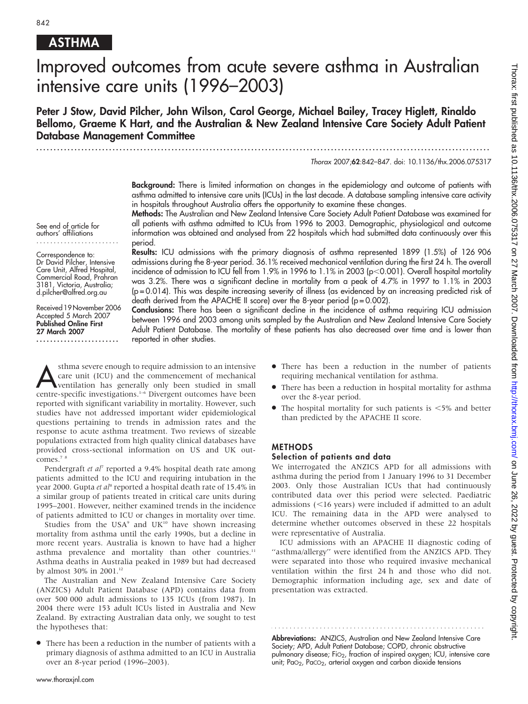## **ASTHMA**

# Improved outcomes from acute severe asthma in Australian intensive care units (1996–2003)

Peter J Stow, David Pilcher, John Wilson, Carol George, Michael Bailey, Tracey Higlett, Rinaldo Bellomo, Graeme K Hart, and the Australian & New Zealand Intensive Care Society Adult Patient Database Management Committee

...................................................................................................................................

Thorax 2007;62:842–847. doi: 10.1136/thx.2006.075317

Background: There is limited information on changes in the epidemiology and outcome of patients with asthma admitted to intensive care units (ICUs) in the last decade. A database sampling intensive care activity in hospitals throughout Australia offers the opportunity to examine these changes.

Methods: The Australian and New Zealand Intensive Care Society Adult Patient Database was examined for all patients with asthma admitted to ICUs from 1996 to 2003. Demographic, physiological and outcome information was obtained and analysed from 22 hospitals which had submitted data continuously over this period.

Results: ICU admissions with the primary diagnosis of asthma represented 1899 (1.5%) of 126 906 admissions during the 8-year period. 36.1% received mechanical ventilation during the first 24 h. The overall incidence of admission to ICU fell from 1.9% in 1996 to 1.1% in 2003 (p<0.001). Overall hospital mortality was 3.2%. There was a significant decline in mortality from a peak of 4.7% in 1997 to 1.1% in 2003 (p = 0.014). This was despite increasing severity of illness (as evidenced by an increasing predicted risk of death derived from the APACHE II score) over the 8-year period ( $p = 0.002$ ).

Conclusions: There has been a significant decline in the incidence of asthma requiring ICU admission between 1996 and 2003 among units sampled by the Australian and New Zealand Intensive Care Society Adult Patient Database. The mortality of these patients has also decreased over time and is lower than reported in other studies.

**Asthma severe enough to require admission to an intensive**<br>care unit (ICU) and the commencement of mechanical<br>ventilation has generally only been studied in small<br>centre energic investigations <sup>1-6</sup> Divergent outcomes hav care unit (ICU) and the commencement of mechanical centre-specific investigations.<sup>1-6</sup> Divergent outcomes have been reported with significant variability in mortality. However, such studies have not addressed important wider epidemiological questions pertaining to trends in admission rates and the response to acute asthma treatment. Two reviews of sizeable populations extracted from high quality clinical databases have provided cross-sectional information on US and UK outcomes.<sup>7</sup>

Pendergraft et al<sup>7</sup> reported a 9.4% hospital death rate among patients admitted to the ICU and requiring intubation in the year 2000. Gupta et al<sup>8</sup> reported a hospital death rate of 15.4% in a similar group of patients treated in critical care units during 1995–2001. However, neither examined trends in the incidence of patients admitted to ICU or changes in mortality over time.

Studies from the USA<sup>9</sup> and UK<sup>10</sup> have shown increasing mortality from asthma until the early 1990s, but a decline in more recent years. Australia is known to have had a higher asthma prevalence and mortality than other countries.<sup>11</sup> Asthma deaths in Australia peaked in 1989 but had decreased by almost 30% in 2001.<sup>12</sup>

The Australian and New Zealand Intensive Care Society (ANZICS) Adult Patient Database (APD) contains data from over 500 000 adult admissions to 135 ICUs (from 1987). In 2004 there were 153 adult ICUs listed in Australia and New Zealand. By extracting Australian data only, we sought to test the hypotheses that:

N There has been a reduction in the number of patients with a primary diagnosis of asthma admitted to an ICU in Australia over an 8-year period (1996–2003).

- There has been a reduction in the number of patients requiring mechanical ventilation for asthma.
- There has been a reduction in hospital mortality for asthma over the 8-year period.
- $\bullet$  The hospital mortality for such patients is  $\lt 5\%$  and better than predicted by the APACHE II score.

#### METHODS

#### Selection of patients and data

We interrogated the ANZICS APD for all admissions with asthma during the period from 1 January 1996 to 31 December 2003. Only those Australian ICUs that had continuously contributed data over this period were selected. Paediatric admissions  $(<$ 16 years) were included if admitted to an adult ICU. The remaining data in the APD were analysed to determine whether outcomes observed in these 22 hospitals were representative of Australia.

ICU admissions with an APACHE II diagnostic coding of "asthma/allergy" were identified from the ANZICS APD. They were separated into those who required invasive mechanical ventilation within the first 24 h and those who did not. Demographic information including age, sex and date of presentation was extracted.

Abbreviations: ANZICS, Australian and New Zealand Intensive Care Society; APD, Adult Patient Database; COPD, chronic obstructive pulmonary disease; FiO<sub>2</sub>, fraction of inspired oxygen; ICU, intensive care unit; PaO<sub>2</sub>, PaCO<sub>2</sub>, arterial oxygen and carbon dioxide tensions

Correspondence to: Dr David Pilcher, Intensive Care Unit, Alfred Hospital, Commercial Road, Prahran

3181, Victoria, Australia;

See end of article for authors' affiliations ........................

d.pilcher@alfred.org.au Received 19 November 2006 Accepted 5 March 2007 Published Online First

27 March 2007 ........................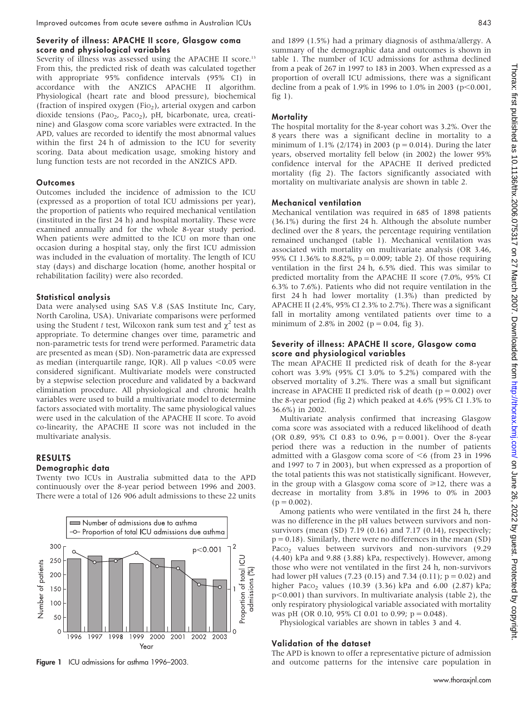#### Severity of illness: APACHE II score, Glasgow coma score and physiological variables

Severity of illness was assessed using the APACHE II score.<sup>13</sup> From this, the predicted risk of death was calculated together with appropriate 95% confidence intervals (95% CI) in accordance with the ANZICS APACHE II algorithm. Physiological (heart rate and blood pressure), biochemical (fraction of inspired oxygen (Fio<sub>2</sub>), arterial oxygen and carbon dioxide tensions (Pao<sub>2</sub>, Paco<sub>2</sub>), pH, bicarbonate, urea, creatinine) and Glasgow coma score variables were extracted. In the APD, values are recorded to identify the most abnormal values within the first 24 h of admission to the ICU for severity scoring. Data about medication usage, smoking history and lung function tests are not recorded in the ANZICS APD.

#### **Outcomes**

Outcomes included the incidence of admission to the ICU (expressed as a proportion of total ICU admissions per year), the proportion of patients who required mechanical ventilation (instituted in the first 24 h) and hospital mortality. These were examined annually and for the whole 8-year study period. When patients were admitted to the ICU on more than one occasion during a hospital stay, only the first ICU admission was included in the evaluation of mortality. The length of ICU stay (days) and discharge location (home, another hospital or rehabilitation facility) were also recorded.

#### Statistical analysis

Data were analysed using SAS V.8 (SAS Institute Inc, Cary, North Carolina, USA). Univariate comparisons were performed using the Student t test, Wilcoxon rank sum test and  $\chi^2$  test as appropriate. To determine changes over time, parametric and non-parametric tests for trend were performed. Parametric data are presented as mean (SD). Non-parametric data are expressed as median (interquartile range, IQR). All p values  $<$  0.05 were considered significant. Multivariate models were constructed by a stepwise selection procedure and validated by a backward elimination procedure. All physiological and chronic health variables were used to build a multivariate model to determine factors associated with mortality. The same physiological values were used in the calculation of the APACHE II score. To avoid co-linearity, the APACHE II score was not included in the multivariate analysis.

#### RESULTS

#### Demographic data

Twenty two ICUs in Australia submitted data to the APD continuously over the 8-year period between 1996 and 2003. There were a total of 126 906 adult admissions to these 22 units



and 1899 (1.5%) had a primary diagnosis of asthma/allergy. A summary of the demographic data and outcomes is shown in table 1. The number of ICU admissions for asthma declined from a peak of 267 in 1997 to 183 in 2003. When expressed as a proportion of overall ICU admissions, there was a significant decline from a peak of 1.9% in 1996 to 1.0% in 2003 ( $p<0.001$ , fig  $1$ ).

#### **Mortality**

The hospital mortality for the 8-year cohort was 3.2%. Over the 8 years there was a significant decline in mortality to a minimum of 1.1% (2/174) in 2003 ( $p = 0.014$ ). During the later years, observed mortality fell below (in 2002) the lower 95% confidence interval for the APACHE II derived predicted mortality (fig 2). The factors significantly associated with mortality on multivariate analysis are shown in table 2.

#### Mechanical ventilation

Mechanical ventilation was required in 685 of 1898 patients (36.1%) during the first 24 h. Although the absolute number declined over the 8 years, the percentage requiring ventilation remained unchanged (table 1). Mechanical ventilation was associated with mortality on multivariate analysis (OR 3.46, 95% CI 1.36% to 8.82%, p = 0.009; table 2). Of those requiring ventilation in the first 24 h, 6.5% died. This was similar to predicted mortality from the APACHE II score (7.0%, 95% CI 6.3% to 7.6%). Patients who did not require ventilation in the first 24 h had lower mortality (1.3%) than predicted by APACHE II (2.4%, 95% CI 2.3% to 2.7%). There was a significant fall in mortality among ventilated patients over time to a minimum of 2.8% in 2002 ( $p = 0.04$ , fig 3).

#### Severity of illness: APACHE II score, Glasgow coma score and physiological variables

The mean APACHE II predicted risk of death for the 8-year cohort was 3.9% (95% CI 3.0% to 5.2%) compared with the observed mortality of 3.2%. There was a small but significant increase in APACHE II predicted risk of death ( $p = 0.002$ ) over the 8-year period (fig 2) which peaked at 4.6% (95% CI 1.3% to 36.6%) in 2002.

Multivariate analysis confirmed that increasing Glasgow coma score was associated with a reduced likelihood of death (OR 0.89, 95% CI 0.83 to 0.96, p = 0.001). Over the 8-year period there was a reduction in the number of patients admitted with a Glasgow coma score of  $\leq 6$  (from 23 in 1996 and 1997 to 7 in 2003), but when expressed as a proportion of the total patients this was not statistically significant. However, in the group with a Glasgow coma score of  $\geq 12$ , there was a decrease in mortality from 3.8% in 1996 to 0% in 2003  $(p = 0.002)$ .

Among patients who were ventilated in the first 24 h, there was no difference in the pH values between survivors and nonsurvivors (mean (SD) 7.19 (0.16) and 7.17 (0.14), respectively;  $p = 0.18$ ). Similarly, there were no differences in the mean (SD) Paco<sub>2</sub> values between survivors and non-survivors (9.29) (4.40) kPa and 9.88 (3.88) kPa, respectively). However, among those who were not ventilated in the first 24 h, non-survivors had lower pH values (7.23 (0.15) and 7.34 (0.11);  $p = 0.02$ ) and higher Paco<sub>2</sub> values (10.39 (3.36) kPa and 6.00 (2.87) kPa;  $p<0.001$ ) than survivors. In multivariate analysis (table 2), the only respiratory physiological variable associated with mortality was pH (OR 0.10, 95% CI 0.01 to 0.99;  $p = 0.048$ ).

Physiological variables are shown in tables 3 and 4.

#### Validation of the dataset

The APD is known to offer a representative picture of admission Figure 1 ICU admissions for asthma 1996-2003. And outcome patterns for the intensive care population in

www.thoraxjnl.com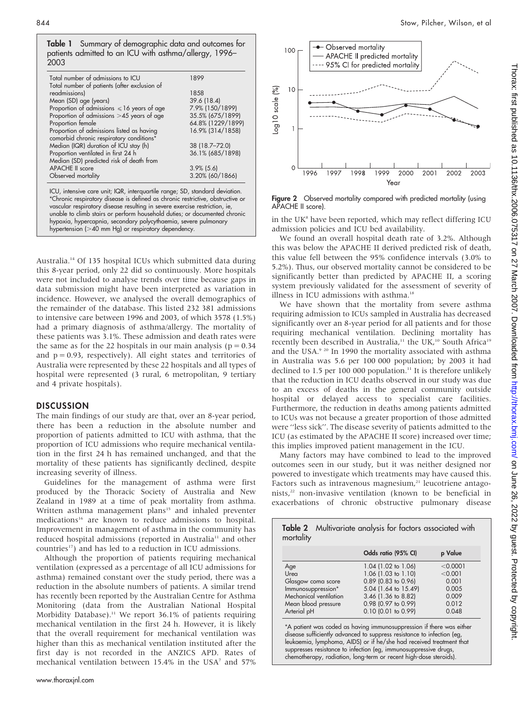Table 1 Summary of demographic data and outcomes for patients admitted to an ICU with asthma/allergy, 1996– 2003

| Total number of admissions to ICU               | 1899              |
|-------------------------------------------------|-------------------|
| Total number of patients (after exclusion of    |                   |
| readmissions)                                   | 1858              |
| Mean (SD) age (years)                           | 39.6 (18.4)       |
| Proportion of admissions $\leq 16$ years of age | 7.9% (150/1899)   |
| Proportion of admissions >45 years of age       | 35.5% (675/1899)  |
| Proportion female                               | 64.8% (1229/1899) |
| Proportion of admissions listed as having       | 16.9% (314/1858)  |
| comorbid chronic respiratory conditions*        |                   |
| Median (IQR) duration of ICU stay (h)           | 38 (18.7-72.0)    |
| Proportion ventilated in first 24 h             | 36.1% (685/1898)  |
| Median (SD) predicted risk of death from        |                   |
| <b>APACHE II score</b>                          | $3.9\%$ (5.6)     |
| Observed mortality                              | 3.20% (60/1866)   |
|                                                 |                   |

ICU, intensive care unit; IQR, interquartile range; SD, standard deviation. \*Chronic respiratory disease is defined as chronic restrictive, obstructive or vascular respiratory disease resulting in severe exercise restriction, ie, unable to climb stairs or perform household duties; or documented chronic hypoxia, hypercapnia, secondary polycythaemia, severe pulmonary hypertension (>40 mm Hg) or respiratory dependency.

Australia.14 Of 135 hospital ICUs which submitted data during this 8-year period, only 22 did so continuously. More hospitals were not included to analyse trends over time because gaps in data submission might have been interpreted as variation in incidence. However, we analysed the overall demographics of the remainder of the database. This listed 232 381 admissions to intensive care between 1996 and 2003, of which 3578 (1.5%) had a primary diagnosis of asthma/allergy. The mortality of these patients was 3.1%. These admission and death rates were the same as for the 22 hospitals in our main analysis ( $p = 0.34$ ) and  $p = 0.93$ , respectively). All eight states and territories of Australia were represented by these 22 hospitals and all types of hospital were represented (3 rural, 6 metropolitan, 9 tertiary and 4 private hospitals).

#### **DISCUSSION**

The main findings of our study are that, over an 8-year period, there has been a reduction in the absolute number and proportion of patients admitted to ICU with asthma, that the proportion of ICU admissions who require mechanical ventilation in the first 24 h has remained unchanged, and that the mortality of these patients has significantly declined, despite increasing severity of illness.

Guidelines for the management of asthma were first produced by the Thoracic Society of Australia and New Zealand in 1989 at a time of peak mortality from asthma. Written asthma management plans<sup>15</sup> and inhaled preventer medications<sup>16</sup> are known to reduce admissions to hospital. Improvement in management of asthma in the community has reduced hospital admissions (reported in Australia<sup>11</sup> and other countries<sup>17</sup>) and has led to a reduction in ICU admissions.

Although the proportion of patients requiring mechanical ventilation (expressed as a percentage of all ICU admissions for asthma) remained constant over the study period, there was a reduction in the absolute numbers of patients. A similar trend has recently been reported by the Australian Centre for Asthma Monitoring (data from the Australian National Hospital Morbidity Database).<sup>11</sup> We report 36.1% of patients requiring mechanical ventilation in the first 24 h. However, it is likely that the overall requirement for mechanical ventilation was higher than this as mechanical ventilation instituted after the first day is not recorded in the ANZICS APD. Rates of mechanical ventilation between 15.4% in the USA<sup>7</sup> and 57%



Figure 2 Observed mortality compared with predicted mortality (using APACHE II score).

in the UK<sup>8</sup> have been reported, which may reflect differing ICU admission policies and ICU bed availability.

We found an overall hospital death rate of 3.2%. Although this was below the APACHE II derived predicted risk of death, this value fell between the 95% confidence intervals (3.0% to 5.2%). Thus, our observed mortality cannot be considered to be significantly better than predicted by APACHE II, a scoring system previously validated for the assessment of severity of illness in ICU admissions with asthma.<sup>18</sup>

We have shown that the mortality from severe asthma requiring admission to ICUs sampled in Australia has decreased significantly over an 8-year period for all patients and for those requiring mechanical ventilation. Declining mortality has recently been described in Australia,<sup>11</sup> the UK,<sup>10</sup> South Africa<sup>19</sup> and the USA.<sup>9 20</sup> In 1990 the mortality associated with asthma in Australia was 5.6 per 100 000 population; by 2003 it had declined to 1.5 per 100 000 population.<sup>11</sup> It is therefore unlikely that the reduction in ICU deaths observed in our study was due to an excess of deaths in the general community outside hospital or delayed access to specialist care facilities. Furthermore, the reduction in deaths among patients admitted to ICUs was not because a greater proportion of those admitted were ''less sick''. The disease severity of patients admitted to the ICU (as estimated by the APACHE II score) increased over time; this implies improved patient management in the ICU.

Many factors may have combined to lead to the improved outcomes seen in our study, but it was neither designed nor powered to investigate which treatments may have caused this. Factors such as intravenous magnesium,<sup>21</sup> leucotriene antagonists,<sup>22</sup> non-invasive ventilation (known to be beneficial in exacerbations of chronic obstructive pulmonary disease

|                        | Odds ratio (95% CI)   | p Value  |
|------------------------|-----------------------|----------|
| Age                    | 1.04 (1.02 to 1.06)   | < 0.0001 |
| Urea                   | 1.06 (1.03 to 1.10)   | < 0.001  |
| Glasgow coma score     | $0.89$ (0.83 to 0.96) | 0.001    |
| Immunosuppression*     | 5.04 (1.64 to 15.49)  | 0.005    |
| Mechanical ventilation | 3.46 (1.36 to 8.82)   | 0.009    |
| Mean blood pressure    | 0.98 (0.97 to 0.99)   | 0.012    |
| Arterial pH            | 0.10 (0.01 to 0.99)   | 0.048    |

disease sufficiently advanced to suppress resistance to infection (eg, leukaemia, lymphoma, AIDS) or if he/she had received treatment that suppresses resistance to infection (eg, immunosuppressive drugs, chemotherapy, radiation, long-term or recent high-dose steroids).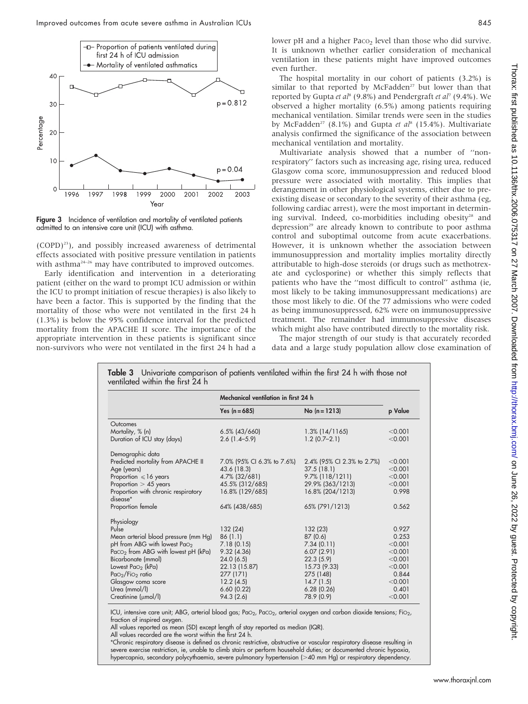

Figure 3 Incidence of ventilation and mortality of ventilated patients admitted to an intensive care unit (ICU) with asthma.

(COPD)23), and possibly increased awareness of detrimental effects associated with positive pressure ventilation in patients with asthma<sup>24-26</sup> may have contributed to improved outcomes.

Early identification and intervention in a deteriorating patient (either on the ward to prompt ICU admission or within the ICU to prompt initiation of rescue therapies) is also likely to have been a factor. This is supported by the finding that the mortality of those who were not ventilated in the first 24 h (1.3%) is below the 95% confidence interval for the predicted mortality from the APACHE II score. The importance of the appropriate intervention in these patients is significant since non-survivors who were not ventilated in the first 24 h had a lower pH and a higher Paco<sub>2</sub> level than those who did survive. It is unknown whether earlier consideration of mechanical ventilation in these patients might have improved outcomes even further.

The hospital mortality in our cohort of patients (3.2%) is similar to that reported by  $McFadden<sup>27</sup>$  but lower than that reported by Gupta et al<sup>8</sup> (9.8%) and Pendergraft et al<sup>7</sup> (9.4%). We observed a higher mortality (6.5%) among patients requiring mechanical ventilation. Similar trends were seen in the studies by McFadden<sup>27</sup> (8.1%) and Gupta et al<sup>8</sup> (15.4%). Multivariate analysis confirmed the significance of the association between mechanical ventilation and mortality.

Multivariate analysis showed that a number of ''nonrespiratory'' factors such as increasing age, rising urea, reduced Glasgow coma score, immunosuppression and reduced blood pressure were associated with mortality. This implies that derangement in other physiological systems, either due to preexisting disease or secondary to the severity of their asthma (eg, following cardiac arrest), were the most important in determining survival. Indeed, co-morbidities including obesity<sup>28</sup> and depression<sup>29</sup> are already known to contribute to poor asthma control and suboptimal outcome from acute exacerbations. However, it is unknown whether the association between immunosuppression and mortality implies mortality directly attributable to high-dose steroids (or drugs such as methotrexate and cyclosporine) or whether this simply reflects that patients who have the ''most difficult to control'' asthma (ie, most likely to be taking immunosuppressant medications) are those most likely to die. Of the 77 admissions who were coded as being immunosuppressed, 62% were on immunosuppressive treatment. The remainder had immunosuppressive diseases which might also have contributed directly to the mortality risk.

The major strength of our study is that accurately recorded data and a large study population allow close examination of

|                                                 | Mechanical ventilation in first 24 h |                            |         |
|-------------------------------------------------|--------------------------------------|----------------------------|---------|
|                                                 | Yes $(n = 685)$                      | No $(n = 1213)$            | p Value |
| Outcomes                                        |                                      |                            |         |
| Mortality, % (n)                                | $6.5\%$ (43/660)                     | $1.3\%$ (14/1165)          | < 0.001 |
| Duration of ICU stay (days)                     | $2.6(1.4-5.9)$                       | $1.2(0.7-2.1)$             | < 0.001 |
| Demographic data                                |                                      |                            |         |
| Predicted mortality from APACHE II              | 7.0% (95% CI 6.3% to 7.6%)           | 2.4% (95% CI 2.3% to 2.7%) | < 0.001 |
| Age (years)                                     | 43.6 (18.3)                          | 37.5(18.1)                 | < 0.001 |
| Proportion $\leq 16$ years                      | 4.7% (32/681)                        | $9.7\%$ (118/1211)         | < 0.001 |
| Proportion $> 45$ years                         | 45.5% (312/685)                      | 29.9% (363/1213)           | < 0.001 |
| Proportion with chronic respiratory<br>disease* | 16.8% (129/685)                      | 16.8% (204/1213)           | 0.998   |
| Proportion female                               | 64% (438/685)                        | 65% (791/1213)             | 0.562   |
| Physiology                                      |                                      |                            |         |
| Pulse                                           | 132 (24)                             | 132 (23)                   | 0.927   |
| Mean arterial blood pressure (mm Hg)            | 86(1.1)                              | 87(0.6)                    | 0.253   |
| pH from ABG with lowest PaO <sub>2</sub>        | 7.18(0.15)                           | 7.34(0.11)                 | < 0.001 |
| $Paco2$ from ABG with lowest pH (kPa)           | 9.32(4.36)                           | 6.07(2.91)                 | < 0.001 |
| Bicarbonate (mmol)                              | 24.0(6.5)                            | 22.3(5.9)                  | < 0.001 |
| Lowest $PaO2$ (kPa)                             | 22.13 (15.87)                        | 15.73 (9.33)               | < 0.001 |
| $PaO2/FiO2$ ratio                               | 277 (171)                            | 275 (148)                  | 0.844   |
| Glasgow coma score                              | 12.2(4.5)                            | 14.7(1.5)                  | < 0.001 |
| Urea (mmol/l)                                   | 6.60(0.22)                           | 6.28(0.26)                 | 0.401   |
| Creatinine (µmol/l)                             | 94.3(2.6)                            | 78.9 (0.9)                 | < 0.001 |

Table 3 Univariate comparison of patients ventilated within the first 24 h with those not

ICU, intensive care unit; ABG, arterial blood gas; PaO<sub>2</sub>, PaCO<sub>2</sub>, arterial oxygen and carbon dioxide tensions; FiO<sub>2</sub>, fraction of inspired oxygen.

All values reported as mean (SD) except length of stay reported as median (IQR).

All values recorded are the worst within the first 24 h.

\*Chronic respiratory disease is defined as chronic restrictive, obstructive or vascular respiratory disease resulting in severe exercise restriction, ie, unable to climb stairs or perform household duties; or documented chronic hypoxia, hypercapnia, secondary polycythaemia, severe pulmonary hypertension (>40 mm Hg) or respiratory dependency.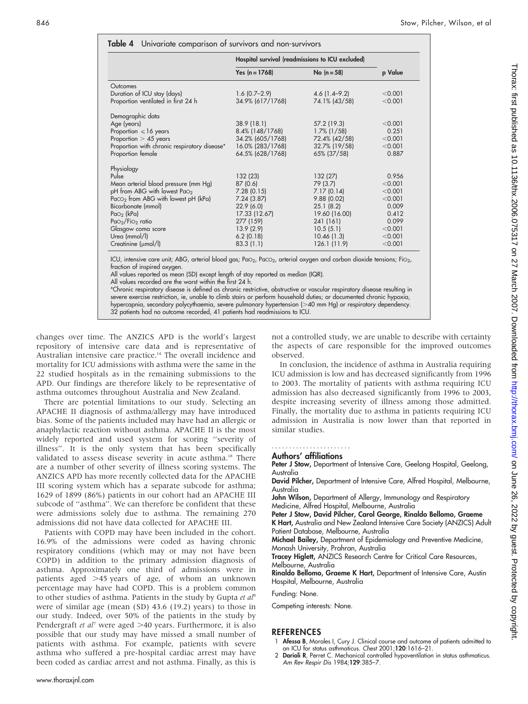|                                                 | Hospital survival (readmissions to ICU excluded) |                  |         |
|-------------------------------------------------|--------------------------------------------------|------------------|---------|
|                                                 | Yes $(n = 1768)$                                 | No $(n = 58)$    | p Value |
| Outcomes                                        |                                                  |                  |         |
| Duration of ICU stay (days)                     | $1.6(0.7-2.9)$                                   | $4.6(1.4 - 9.2)$ | < 0.001 |
| Proportion ventilated in first 24 h             | 34.9% (617/1768)                                 | 74.1% (43/58)    | < 0.001 |
| Demographic data                                |                                                  |                  |         |
| Age (years)                                     | 38.9 (18.1)                                      | 57.2 (19.3)      | < 0.001 |
| Proportion $\leq 16$ years                      | $8.4\%$ (148/1768)                               | $1.7\%$ (1/58)   | 0.251   |
| Proportion $> 45$ years                         | 34.2% (605/1768)                                 | 72.4% (42/58)    | < 0.001 |
| Proportion with chronic respiratory disease*    | 16.0% (283/1768)                                 | 32.7% (19/58)    | < 0.001 |
| Proportion female                               | 64.5% (628/1768)                                 | 65% (37/58)      | 0.887   |
| Physiology                                      |                                                  |                  |         |
| Pulse                                           | 132 (23)                                         | 132 (27)         | 0.956   |
| Mean arterial blood pressure (mm Hg)            | 87 (0.6)                                         | 79 (3.7)         | < 0.001 |
| pH from ABG with lowest PaO <sub>2</sub>        | 7.28(0.15)                                       | 7.17(0.14)       | < 0.001 |
| Paco <sub>2</sub> from ABG with lowest pH (kPa) | 7.24(3.87)                                       | 9.88(0.02)       | < 0.001 |
| Bicarbonate (mmol)                              | 22.9(6.0)                                        | 25.1(8.2)        | 0.009   |
| $Pao2$ (kPa)                                    | 17.33 (12.67)                                    | 19.60 (16.00)    | 0.412   |
| $PaO2/FiO2$ ratio                               | 277 (159)                                        | 241 (161)        | 0.099   |
| Glasgow coma score                              | 13.9(2.9)                                        | 10.5(5.1)        | < 0.001 |
| Urea (mmol/l)                                   | 6.2(0.18)                                        | 10.46(1.3)       | < 0.001 |
| Creatinine (umol/l)                             | 83.3(1.1)                                        | 126.1(11.9)      | < 0.001 |

 $\cdot$ e care unit; ABG, arterial blood gas; Pa $\circ$ 2, Pac $\circ$ 2, arterial oxygen and carbon dioxide tensions; Fi $\circ$ 2, fraction of inspired oxygen.

All values reported as mean (SD) except length of stay reported as median (IQR).

All values recorded are the worst within the first 24 h.

\*Chronic respiratory disease is defined as chronic restrictive, obstructive or vascular respiratory disease resulting in severe exercise restriction, ie, unable to climb stairs or perform household duties; or documented chronic hypoxia, hypercapnia, secondary polycythaemia, severe pulmonary hypertension (>40 mm Hg) or respiratory dependency. 32 patients had no outcome recorded, 41 patients had readmissions to ICU.

changes over time. The ANZICS APD is the world's largest repository of intensive care data and is representative of Australian intensive care practice.<sup>14</sup> The overall incidence and mortality for ICU admissions with asthma were the same in the 22 studied hospitals as in the remaining submissions to the APD. Our findings are therefore likely to be representative of asthma outcomes throughout Australia and New Zealand.

There are potential limitations to our study. Selecting an APACHE II diagnosis of asthma/allergy may have introduced bias. Some of the patients included may have had an allergic or anaphylactic reaction without asthma. APACHE II is the most widely reported and used system for scoring ''severity of illness''. It is the only system that has been specifically validated to assess disease severity in acute asthma.<sup>18</sup> There are a number of other severity of illness scoring systems. The ANZICS APD has more recently collected data for the APACHE III scoring system which has a separate subcode for asthma; 1629 of 1899 (86%) patients in our cohort had an APACHE III subcode of ''asthma''. We can therefore be confident that these were admissions solely due to asthma. The remaining 270 admissions did not have data collected for APACHE III.

Patients with COPD may have been included in the cohort. 16.9% of the admissions were coded as having chronic respiratory conditions (which may or may not have been COPD) in addition to the primary admission diagnosis of asthma. Approximately one third of admissions were in patients aged  $>45$  years of age, of whom an unknown percentage may have had COPD. This is a problem common to other studies of asthma. Patients in the study by Gupta et  $al^8$ were of similar age (mean (SD) 43.6 (19.2) years) to those in our study. Indeed, over 50% of the patients in the study by Pendergraft *et al*<sup>7</sup> were aged  $>40$  years. Furthermore, it is also possible that our study may have missed a small number of patients with asthma. For example, patients with severe asthma who suffered a pre-hospital cardiac arrest may have been coded as cardiac arrest and not asthma. Finally, as this is

not a controlled study, we are unable to describe with certainty the aspects of care responsible for the improved outcomes observed.

In conclusion, the incidence of asthma in Australia requiring ICU admission is low and has decreased significantly from 1996 to 2003. The mortality of patients with asthma requiring ICU admission has also decreased significantly from 1996 to 2003, despite increasing severity of illness among those admitted. Finally, the mortality due to asthma in patients requiring ICU admission in Australia is now lower than that reported in similar studies.

### .......................

### Authors' affiliations

Peter J Stow, Department of Intensive Care, Geelong Hospital, Geelong, Australia

David Pilcher, Department of Intensive Care, Alfred Hospital, Melbourne, Australia

John Wilson, Department of Allergy, Immunology and Respiratory Medicine, Alfred Hospital, Melbourne, Australia

Peter J Stow, David Pilcher, Carol George, Rinaldo Bellomo, Graeme

K Hart, Australia and New Zealand Intensive Care Society (ANZICS) Adult Patient Database, Melbourne, Australia

Michael Bailey, Department of Epidemiology and Preventive Medicine, Monash University, Prahran, Australia

Tracey Higlett, ANZICS Research Centre for Critical Care Resources, Melbourne, Australia

Rinaldo Bellomo, Graeme K Hart, Department of Intensive Care, Austin Hospital, Melbourne, Australia

Funding: None.

Competing interests: None.

#### REFERENCES

- 1 Afessa B, Morales I, Cury J. Clinical course and outcome of patients admitted to an ICU for status asthmaticus. Chest 2001;120:1616–21.
- 2 Darioli R, Perret C. Mechanical controlled hypoventilation in status asthmaticus. Am Rev Respir Dis 1984;129:385–7.